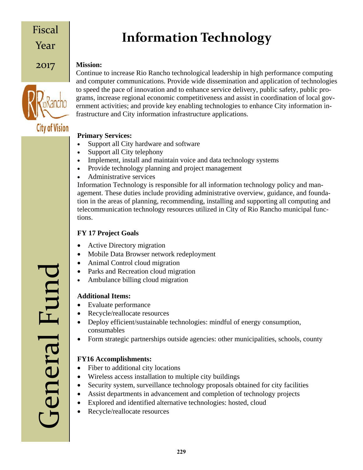### Fiscal Year

2017

## **Information Technology**

#### **Mission:**



Continue to increase Rio Rancho technological leadership in high performance computing and computer communications. Provide wide dissemination and application of technologies to speed the pace of innovation and to enhance service delivery, public safety, public programs, increase regional economic competitiveness and assist in coordination of local government activities; and provide key enabling technologies to enhance City information infrastructure and City information infrastructure applications.

#### **Primary Services:**

- Support all City hardware and software
- Support all City telephony
- Implement, install and maintain voice and data technology systems
- Provide technology planning and project management
- Administrative services

Information Technology is responsible for all information technology policy and management. These duties include providing administrative overview, guidance, and foundation in the areas of planning, recommending, installing and supporting all computing and telecommunication technology resources utilized in City of Rio Rancho municipal functions.

#### **FY 17 Project Goals**

- Active Directory migration
- Mobile Data Browser network redeployment
- Animal Control cloud migration
- Parks and Recreation cloud migration
- Ambulance billing cloud migration

#### **Additional Items:**

- Evaluate performance
- Recycle/reallocate resources
- Deploy efficient/sustainable technologies: mindful of energy consumption, consumables
- Form strategic partnerships outside agencies: other municipalities, schools, county

#### **FY16 Accomplishments:**

- Fiber to additional city locations
- Wireless access installation to multiple city buildings
- Security system, surveillance technology proposals obtained for city facilities
- Assist departments in advancement and completion of technology projects
- Explored and identified alternative technologies: hosted, cloud
- Recycle/reallocate resources

General Fund General Func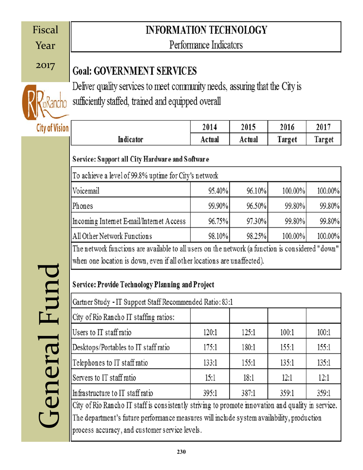| Fiscal                   | <b>INFORMATION TECHNOLOGY</b>                                                                                                                                                                                                          |        |        |                  |         |  |  |  |  |  |
|--------------------------|----------------------------------------------------------------------------------------------------------------------------------------------------------------------------------------------------------------------------------------|--------|--------|------------------|---------|--|--|--|--|--|
| Year                     | Performance Indicators                                                                                                                                                                                                                 |        |        |                  |         |  |  |  |  |  |
| 2017                     | <b>Goal: GOVERNMENT SERVICES</b>                                                                                                                                                                                                       |        |        |                  |         |  |  |  |  |  |
|                          | Deliver quality services to meet community needs, assuring that the City is<br>sufficiently staffed, trained and equipped overall                                                                                                      |        |        |                  |         |  |  |  |  |  |
|                          |                                                                                                                                                                                                                                        |        |        |                  |         |  |  |  |  |  |
| <b>City of Vision</b>    |                                                                                                                                                                                                                                        | 2014   | 2015   | 2016             | 2017    |  |  |  |  |  |
|                          | Indicator                                                                                                                                                                                                                              | Actual | Actual | Target<br>Target |         |  |  |  |  |  |
|                          | Service: Support all City Hardware and Software                                                                                                                                                                                        |        |        |                  |         |  |  |  |  |  |
|                          | To achieve a level of 99.8% uptime for City's network                                                                                                                                                                                  |        |        |                  |         |  |  |  |  |  |
|                          | Voicemail                                                                                                                                                                                                                              | 95.40% | 96.10% | 100.00%          | 100.00% |  |  |  |  |  |
|                          | Phones                                                                                                                                                                                                                                 | 99.90% | 96.50% | 99.80%           | 99.80%  |  |  |  |  |  |
|                          | Incoming Internet E-mail/Internet Access                                                                                                                                                                                               | 96.75% | 97.30% | 99.80%           | 99.80%  |  |  |  |  |  |
|                          | All Other Network Functions                                                                                                                                                                                                            | 98.10% | 98.25% | 100.00%          | 100.00% |  |  |  |  |  |
|                          | The network functions are available to all users on the network (a function is considered "down"<br>when one location is down, even if all other locations are unaffected).<br><b>Service: Provide Technology Planning and Project</b> |        |        |                  |         |  |  |  |  |  |
|                          |                                                                                                                                                                                                                                        |        |        |                  |         |  |  |  |  |  |
| Fur                      | Gartner Study - IT Support Staff Recommended Ratio: 83:1                                                                                                                                                                               |        |        |                  |         |  |  |  |  |  |
|                          | City of Rio Rancho IT staffing ratios:                                                                                                                                                                                                 |        |        |                  |         |  |  |  |  |  |
|                          | Users to IT staff ratio                                                                                                                                                                                                                | 120:1  | 125:1  | 100:1            | 100:1   |  |  |  |  |  |
|                          | Desktops/Portables to IT staff ratio                                                                                                                                                                                                   | 175:1  | 180:1  | 155:1            | 155:1   |  |  |  |  |  |
|                          | Telephones to IT staff ratio                                                                                                                                                                                                           | 133:1  | 155:1  | 135:1            | 135:1   |  |  |  |  |  |
|                          | Servers to IT staff ratio                                                                                                                                                                                                              | 15:1   | 18:1   | 12:1             | 12:1    |  |  |  |  |  |
| eneral                   | Infrastructure to IT staff ratio                                                                                                                                                                                                       | 359:1  | 359:1  |                  |         |  |  |  |  |  |
|                          | City of Rio Rancho IT staff is consistently striving to promote innovation and quality in service.                                                                                                                                     |        |        |                  |         |  |  |  |  |  |
| $\overline{\phantom{a}}$ | The department's future performance measures will include system availability, production<br>process accuracy, and customer service levels.                                                                                            |        |        |                  |         |  |  |  |  |  |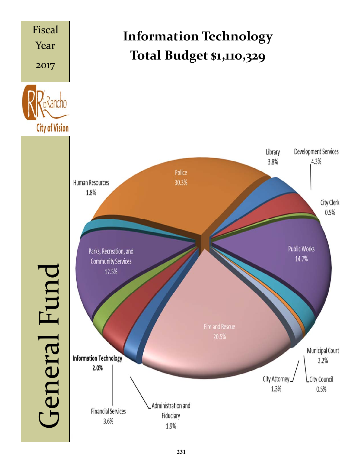